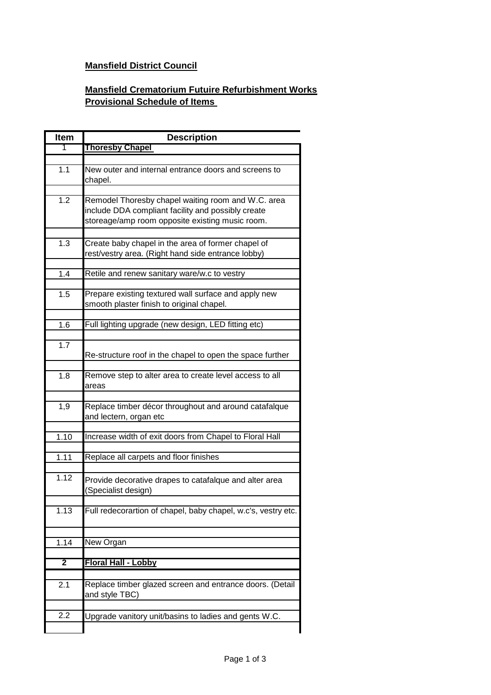## **Mansfield District Council**

## **Mansfield Crematorium Futuire Refurbishment Works Provisional Schedule of Items**

| <b>Item</b>       | <b>Description</b>                                                                                                                                          |
|-------------------|-------------------------------------------------------------------------------------------------------------------------------------------------------------|
| 1                 | <b>Thoresby Chapel</b>                                                                                                                                      |
|                   |                                                                                                                                                             |
| 1.1               | New outer and internal entrance doors and screens to<br>chapel.                                                                                             |
|                   |                                                                                                                                                             |
| 1.2               | Remodel Thoresby chapel waiting room and W.C. area<br>include DDA compliant facility and possibly create<br>storeage/amp room opposite existing music room. |
|                   |                                                                                                                                                             |
| 1.3               | Create baby chapel in the area of former chapel of<br>rest/vestry area. (Right hand side entrance lobby)                                                    |
| 1.4               | Retile and renew sanitary ware/w.c to vestry                                                                                                                |
|                   |                                                                                                                                                             |
| 1.5               | Prepare existing textured wall surface and apply new<br>smooth plaster finish to original chapel.                                                           |
|                   |                                                                                                                                                             |
| 1.6               | Full lighting upgrade (new design, LED fitting etc)                                                                                                         |
| 1.7               | Re-structure roof in the chapel to open the space further                                                                                                   |
| 1.8               | Remove step to alter area to create level access to all<br>areas                                                                                            |
| 1,9               | Replace timber décor throughout and around catafalque<br>and lectern, organ etc                                                                             |
|                   |                                                                                                                                                             |
| 1.10              | Increase width of exit doors from Chapel to Floral Hall                                                                                                     |
| 1.11              | Replace all carpets and floor finishes                                                                                                                      |
|                   |                                                                                                                                                             |
| 1.12              | Provide decorative drapes to catafalque and alter area<br>(Specialist design)                                                                               |
| $\overline{1.13}$ | Full redecorartion of chapel, baby chapel, w.c's, vestry etc.                                                                                               |
|                   |                                                                                                                                                             |
| 1.14              | New Organ                                                                                                                                                   |
| 2                 | Floral Hall - Lobby                                                                                                                                         |
|                   |                                                                                                                                                             |
| 2.1               | Replace timber glazed screen and entrance doors. (Detail<br>and style TBC)                                                                                  |
| 2.2               | Upgrade vanitory unit/basins to ladies and gents W.C.                                                                                                       |
|                   |                                                                                                                                                             |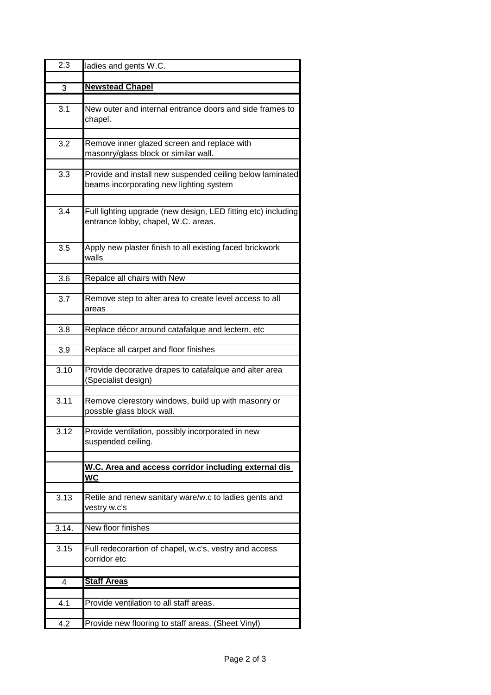| 2.3   | ladies and gents W.C.                                                                                |
|-------|------------------------------------------------------------------------------------------------------|
|       |                                                                                                      |
| 3     | <b>Newstead Chapel</b>                                                                               |
|       |                                                                                                      |
| 3.1   | New outer and internal entrance doors and side frames to<br>chapel.                                  |
| 3.2   | Remove inner glazed screen and replace with<br>masonry/glass block or similar wall.                  |
| 3.3   | Provide and install new suspended ceiling below laminated<br>beams incorporating new lighting system |
| 3.4   | Full lighting upgrade (new design, LED fitting etc) including<br>entrance lobby, chapel, W.C. areas. |
| 3.5   | Apply new plaster finish to all existing faced brickwork<br>walls                                    |
| 3.6   | Repalce all chairs with New                                                                          |
| 3.7   | Remove step to alter area to create level access to all<br>areas                                     |
|       |                                                                                                      |
| 3.8   | Replace décor around catafalque and lectern, etc                                                     |
| 3.9   | Replace all carpet and floor finishes                                                                |
| 3.10  | Provide decorative drapes to catafalque and alter area<br>(Specialist design)                        |
| 3.11  | Remove clerestory windows, build up with masonry or<br>possble glass block wall.                     |
| 3.12  | Provide ventilation, possibly incorporated in new<br>suspended ceiling.                              |
|       |                                                                                                      |
|       | W.C. Area and access corridor including external dis<br>WC                                           |
|       |                                                                                                      |
| 3.13  | Retile and renew sanitary ware/w.c to ladies gents and<br>vestry w.c's                               |
| 3.14. | New floor finishes                                                                                   |
|       |                                                                                                      |
| 3.15  | Full redecorartion of chapel, w.c's, vestry and access<br>corridor etc                               |
| 4     | <b>Staff Areas</b>                                                                                   |
|       |                                                                                                      |
| 4.1   | Provide ventilation to all staff areas.                                                              |
| 4.2   | Provide new flooring to staff areas. (Sheet Vinyl)                                                   |